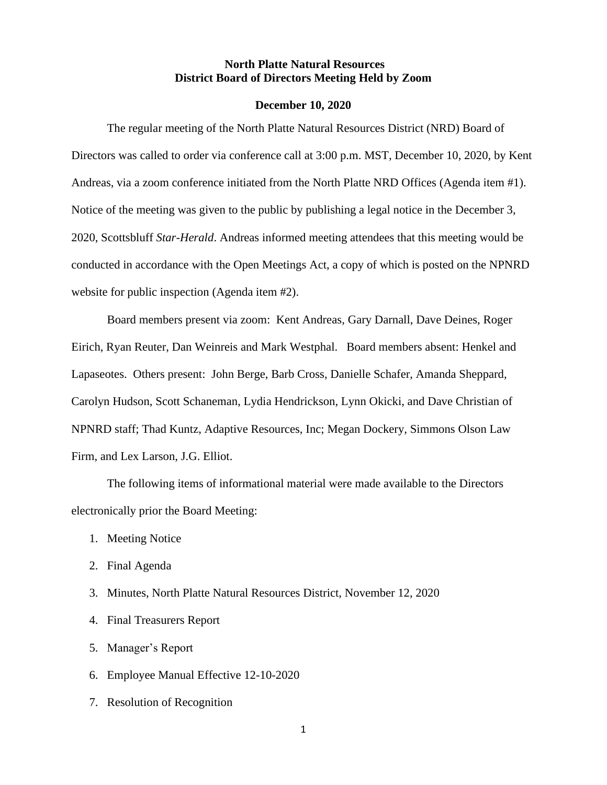### **North Platte Natural Resources District Board of Directors Meeting Held by Zoom**

#### **December 10, 2020**

The regular meeting of the North Platte Natural Resources District (NRD) Board of Directors was called to order via conference call at 3:00 p.m. MST, December 10, 2020, by Kent Andreas, via a zoom conference initiated from the North Platte NRD Offices (Agenda item #1). Notice of the meeting was given to the public by publishing a legal notice in the December 3, 2020, Scottsbluff *Star-Herald*. Andreas informed meeting attendees that this meeting would be conducted in accordance with the Open Meetings Act, a copy of which is posted on the NPNRD website for public inspection (Agenda item #2).

Board members present via zoom: Kent Andreas, Gary Darnall, Dave Deines, Roger Eirich, Ryan Reuter, Dan Weinreis and Mark Westphal. Board members absent: Henkel and Lapaseotes. Others present: John Berge, Barb Cross, Danielle Schafer, Amanda Sheppard, Carolyn Hudson, Scott Schaneman, Lydia Hendrickson, Lynn Okicki, and Dave Christian of NPNRD staff; Thad Kuntz, Adaptive Resources, Inc; Megan Dockery, Simmons Olson Law Firm, and Lex Larson, J.G. Elliot.

The following items of informational material were made available to the Directors electronically prior the Board Meeting:

- 1. Meeting Notice
- 2. Final Agenda
- 3. Minutes, North Platte Natural Resources District, November 12, 2020
- 4. Final Treasurers Report
- 5. Manager's Report
- 6. Employee Manual Effective 12-10-2020
- 7. Resolution of Recognition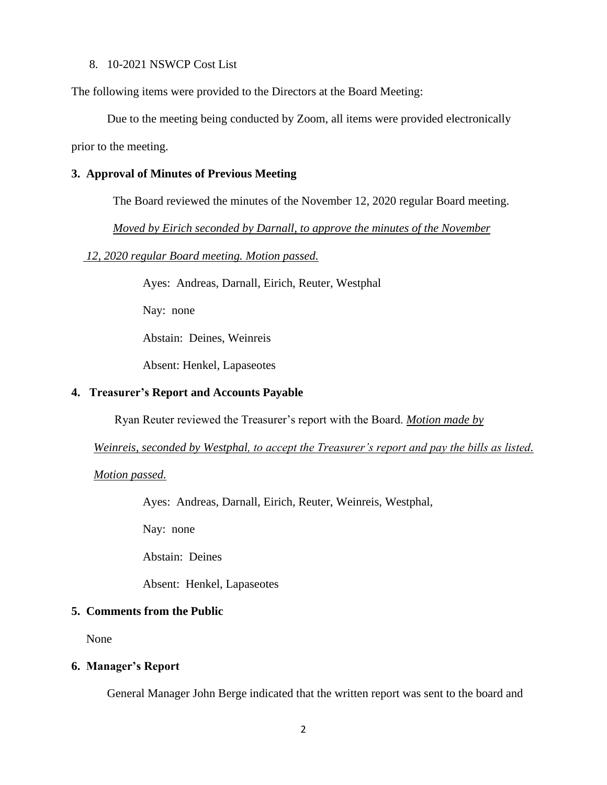#### 8. 10-2021 NSWCP Cost List

The following items were provided to the Directors at the Board Meeting:

Due to the meeting being conducted by Zoom, all items were provided electronically prior to the meeting.

### **3. Approval of Minutes of Previous Meeting**

The Board reviewed the minutes of the November 12, 2020 regular Board meeting.

 *Moved by Eirich seconded by Darnall, to approve the minutes of the November* 

 *12, 2020 regular Board meeting. Motion passed.*

Ayes: Andreas, Darnall, Eirich, Reuter, Westphal

Nay: none

Abstain: Deines, Weinreis

Absent: Henkel, Lapaseotes

## **4. Treasurer's Report and Accounts Payable**

Ryan Reuter reviewed the Treasurer's report with the Board. *Motion made by* 

*Weinreis, seconded by Westphal, to accept the Treasurer's report and pay the bills as listed.* 

*Motion passed.*

Ayes: Andreas, Darnall, Eirich, Reuter, Weinreis, Westphal,

Nay: none

Abstain: Deines

Absent: Henkel, Lapaseotes

# **5. Comments from the Public**

None

## **6. Manager's Report**

General Manager John Berge indicated that the written report was sent to the board and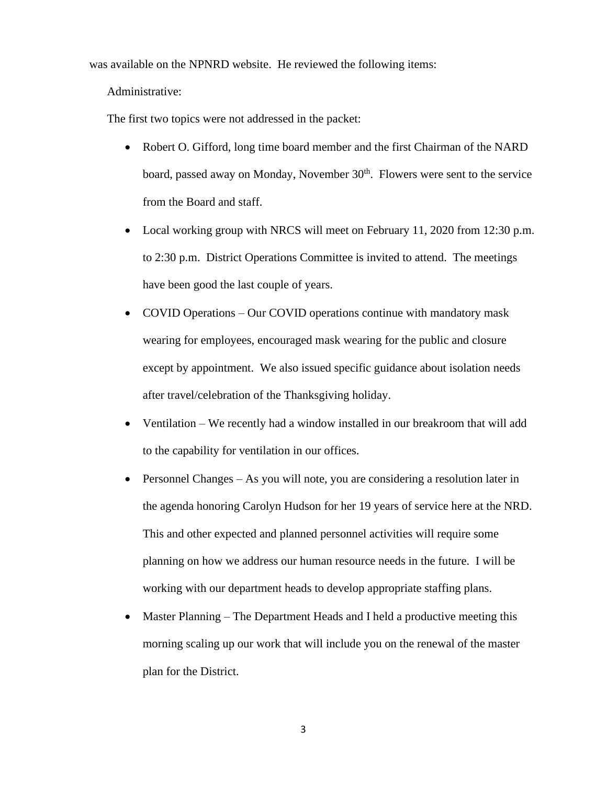was available on the NPNRD website. He reviewed the following items:

Administrative:

The first two topics were not addressed in the packet:

- Robert O. Gifford, long time board member and the first Chairman of the NARD board, passed away on Monday, November 30<sup>th</sup>. Flowers were sent to the service from the Board and staff.
- Local working group with NRCS will meet on February 11, 2020 from 12:30 p.m. to 2:30 p.m. District Operations Committee is invited to attend. The meetings have been good the last couple of years.
- COVID Operations Our COVID operations continue with mandatory mask wearing for employees, encouraged mask wearing for the public and closure except by appointment. We also issued specific guidance about isolation needs after travel/celebration of the Thanksgiving holiday.
- Ventilation We recently had a window installed in our breakroom that will add to the capability for ventilation in our offices.
- Personnel Changes As you will note, you are considering a resolution later in the agenda honoring Carolyn Hudson for her 19 years of service here at the NRD. This and other expected and planned personnel activities will require some planning on how we address our human resource needs in the future. I will be working with our department heads to develop appropriate staffing plans.
- Master Planning The Department Heads and I held a productive meeting this morning scaling up our work that will include you on the renewal of the master plan for the District.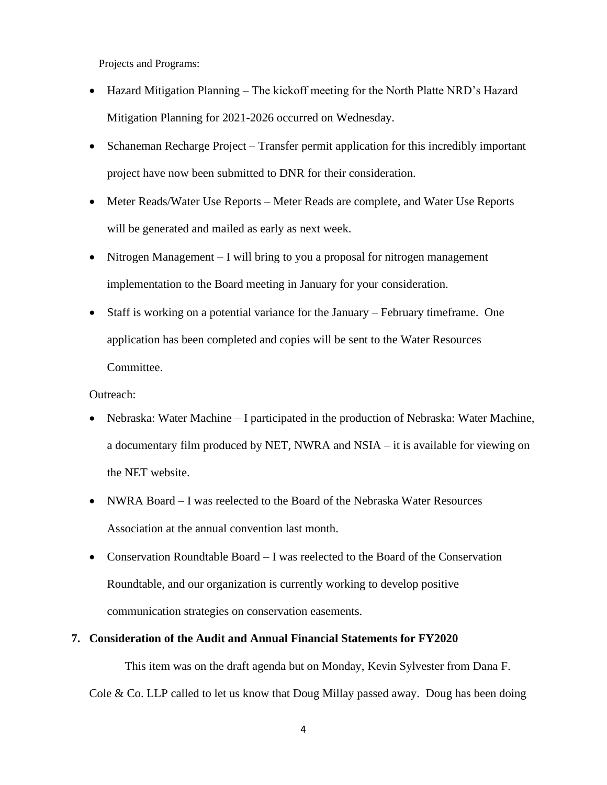Projects and Programs:

- Hazard Mitigation Planning The kickoff meeting for the North Platte NRD's Hazard Mitigation Planning for 2021-2026 occurred on Wednesday.
- Schaneman Recharge Project Transfer permit application for this incredibly important project have now been submitted to DNR for their consideration.
- Meter Reads/Water Use Reports Meter Reads are complete, and Water Use Reports will be generated and mailed as early as next week.
- Nitrogen Management I will bring to you a proposal for nitrogen management implementation to the Board meeting in January for your consideration.
- Staff is working on a potential variance for the January February timeframe. One application has been completed and copies will be sent to the Water Resources Committee.

Outreach:

- Nebraska: Water Machine I participated in the production of Nebraska: Water Machine, a documentary film produced by NET, NWRA and NSIA – it is available for viewing on the NET website.
- NWRA Board I was reelected to the Board of the Nebraska Water Resources Association at the annual convention last month.
- Conservation Roundtable Board I was reelected to the Board of the Conservation Roundtable, and our organization is currently working to develop positive communication strategies on conservation easements.

### **7. Consideration of the Audit and Annual Financial Statements for FY2020**

This item was on the draft agenda but on Monday, Kevin Sylvester from Dana F. Cole  $\&$  Co. LLP called to let us know that Doug Millay passed away. Doug has been doing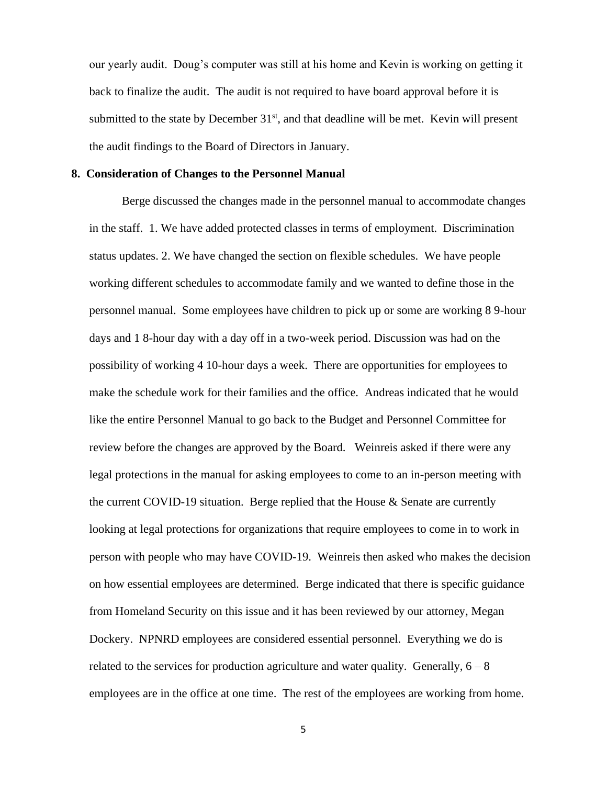our yearly audit. Doug's computer was still at his home and Kevin is working on getting it back to finalize the audit. The audit is not required to have board approval before it is submitted to the state by December  $31<sup>st</sup>$ , and that deadline will be met. Kevin will present the audit findings to the Board of Directors in January.

#### **8. Consideration of Changes to the Personnel Manual**

Berge discussed the changes made in the personnel manual to accommodate changes in the staff. 1. We have added protected classes in terms of employment. Discrimination status updates. 2. We have changed the section on flexible schedules. We have people working different schedules to accommodate family and we wanted to define those in the personnel manual. Some employees have children to pick up or some are working 8 9-hour days and 1 8-hour day with a day off in a two-week period. Discussion was had on the possibility of working 4 10-hour days a week. There are opportunities for employees to make the schedule work for their families and the office. Andreas indicated that he would like the entire Personnel Manual to go back to the Budget and Personnel Committee for review before the changes are approved by the Board. Weinreis asked if there were any legal protections in the manual for asking employees to come to an in-person meeting with the current COVID-19 situation. Berge replied that the House  $\&$  Senate are currently looking at legal protections for organizations that require employees to come in to work in person with people who may have COVID-19. Weinreis then asked who makes the decision on how essential employees are determined. Berge indicated that there is specific guidance from Homeland Security on this issue and it has been reviewed by our attorney, Megan Dockery. NPNRD employees are considered essential personnel. Everything we do is related to the services for production agriculture and water quality. Generally,  $6 - 8$ employees are in the office at one time. The rest of the employees are working from home.

5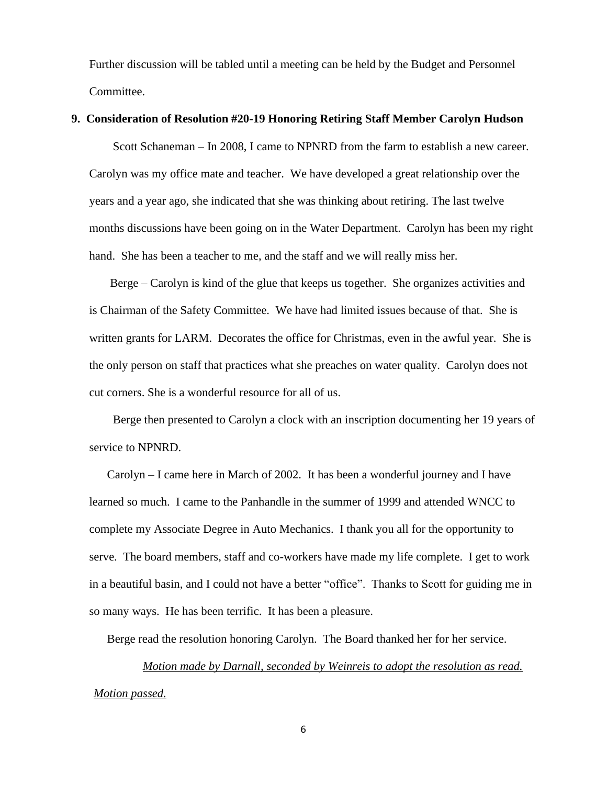Further discussion will be tabled until a meeting can be held by the Budget and Personnel Committee.

#### **9. Consideration of Resolution #20-19 Honoring Retiring Staff Member Carolyn Hudson**

Scott Schaneman – In 2008, I came to NPNRD from the farm to establish a new career. Carolyn was my office mate and teacher. We have developed a great relationship over the years and a year ago, she indicated that she was thinking about retiring. The last twelve months discussions have been going on in the Water Department. Carolyn has been my right hand. She has been a teacher to me, and the staff and we will really miss her.

Berge – Carolyn is kind of the glue that keeps us together. She organizes activities and is Chairman of the Safety Committee. We have had limited issues because of that. She is written grants for LARM. Decorates the office for Christmas, even in the awful year. She is the only person on staff that practices what she preaches on water quality. Carolyn does not cut corners. She is a wonderful resource for all of us.

 Berge then presented to Carolyn a clock with an inscription documenting her 19 years of service to NPNRD.

 Carolyn – I came here in March of 2002. It has been a wonderful journey and I have learned so much. I came to the Panhandle in the summer of 1999 and attended WNCC to complete my Associate Degree in Auto Mechanics. I thank you all for the opportunity to serve. The board members, staff and co-workers have made my life complete. I get to work in a beautiful basin, and I could not have a better "office". Thanks to Scott for guiding me in so many ways. He has been terrific. It has been a pleasure.

Berge read the resolution honoring Carolyn. The Board thanked her for her service.

*Motion made by Darnall, seconded by Weinreis to adopt the resolution as read. Motion passed.*